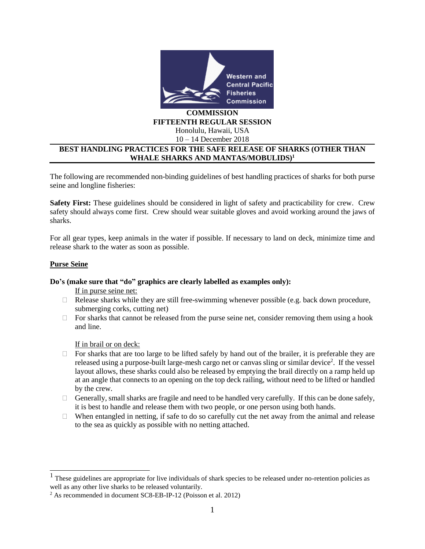

#### **COMMISSION FIFTEENTH REGULAR SESSION** Honolulu, Hawaii, USA

10 – 14 December 2018

# **BEST HANDLING PRACTICES FOR THE SAFE RELEASE OF SHARKS (OTHER THAN WHALE SHARKS AND MANTAS/MOBULIDS)<sup>1</sup>**

The following are recommended non-binding guidelines of best handling practices of sharks for both purse seine and longline fisheries:

**Safety First:** These guidelines should be considered in light of safety and practicability for crew. Crew safety should always come first. Crew should wear suitable gloves and avoid working around the jaws of sharks.

For all gear types, keep animals in the water if possible. If necessary to land on deck, minimize time and release shark to the water as soon as possible.

## **Purse Seine**

## **Do's (make sure that "do" graphics are clearly labelled as examples only):**

If in purse seine net:

- $\Box$  Release sharks while they are still free-swimming whenever possible (e.g. back down procedure, submerging corks, cutting net)
- $\Box$  For sharks that cannot be released from the purse seine net, consider removing them using a hook and line.

If in brail or on deck:

- $\Box$  For sharks that are too large to be lifted safely by hand out of the brailer, it is preferable they are released using a purpose-built large-mesh cargo net or canvas sling or similar device<sup>2</sup>. If the vessel layout allows, these sharks could also be released by emptying the brail directly on a ramp held up at an angle that connects to an opening on the top deck railing, without need to be lifted or handled by the crew.
- Generally, small sharks are fragile and need to be handled very carefully. If this can be done safely, it is best to handle and release them with two people, or one person using both hands.
- $\Box$  When entangled in netting, if safe to do so carefully cut the net away from the animal and release to the sea as quickly as possible with no netting attached.

<sup>&</sup>lt;sup>1</sup>These guidelines are appropriate for live individuals of shark species to be released under no-retention policies as well as any other live sharks to be released voluntarily.

<sup>2</sup> As recommended in document SC8-EB-IP-12 (Poisson et al. 2012)